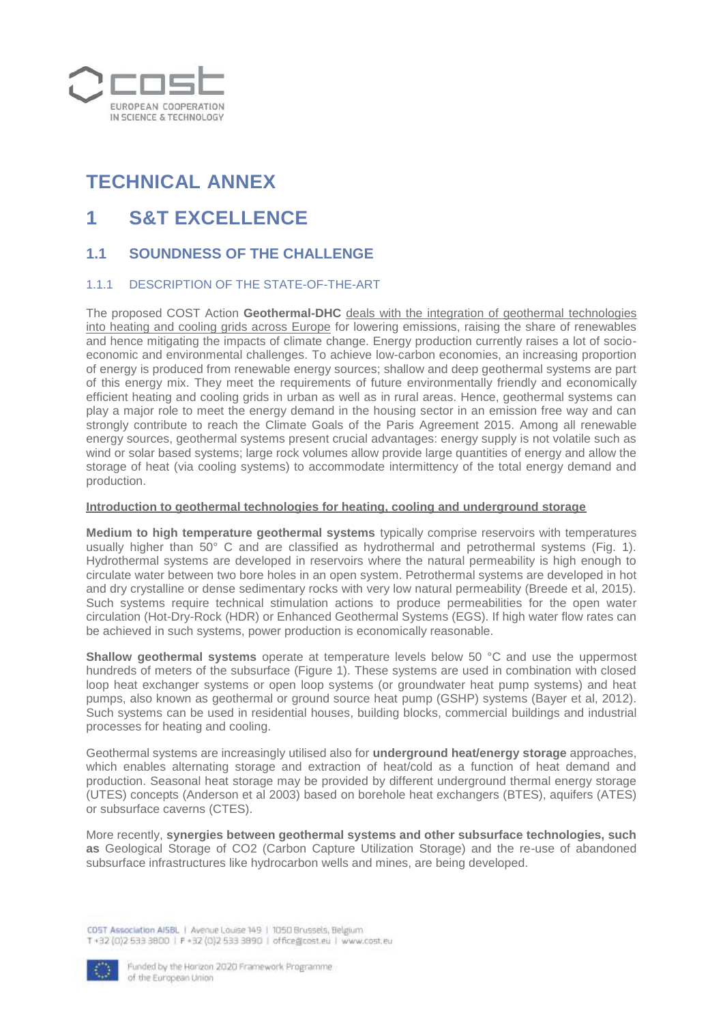

# **TECHNICAL ANNEX**

## **1 S&T EXCELLENCE**

### **1.1 SOUNDNESS OF THE CHALLENGE**

### 1.1.1 DESCRIPTION OF THE STATE-OF-THE-ART

The proposed COST Action **Geothermal-DHC** deals with the integration of geothermal technologies into heating and cooling grids across Europe for lowering emissions, raising the share of renewables and hence mitigating the impacts of climate change. Energy production currently raises a lot of socioeconomic and environmental challenges. To achieve low-carbon economies, an increasing proportion of energy is produced from renewable energy sources; shallow and deep geothermal systems are part of this energy mix. They meet the requirements of future environmentally friendly and economically efficient heating and cooling grids in urban as well as in rural areas. Hence, geothermal systems can play a major role to meet the energy demand in the housing sector in an emission free way and can strongly contribute to reach the Climate Goals of the Paris Agreement 2015. Among all renewable energy sources, geothermal systems present crucial advantages: energy supply is not volatile such as wind or solar based systems; large rock volumes allow provide large quantities of energy and allow the storage of heat (via cooling systems) to accommodate intermittency of the total energy demand and production.

#### **Introduction to geothermal technologies for heating, cooling and underground storage**

**Medium to high temperature geothermal systems** typically comprise reservoirs with temperatures usually higher than 50° C and are classified as hydrothermal and petrothermal systems (Fig. 1). Hydrothermal systems are developed in reservoirs where the natural permeability is high enough to circulate water between two bore holes in an open system. Petrothermal systems are developed in hot and dry crystalline or dense sedimentary rocks with very low natural permeability (Breede et al, 2015). Such systems require technical stimulation actions to produce permeabilities for the open water circulation (Hot-Dry-Rock (HDR) or Enhanced Geothermal Systems (EGS). If high water flow rates can be achieved in such systems, power production is economically reasonable.

**Shallow geothermal systems** operate at temperature levels below 50 °C and use the uppermost hundreds of meters of the subsurface (Figure 1). These systems are used in combination with closed loop heat exchanger systems or open loop systems (or groundwater heat pump systems) and heat pumps, also known as geothermal or ground source heat pump (GSHP) systems (Bayer et al, 2012). Such systems can be used in residential houses, building blocks, commercial buildings and industrial processes for heating and cooling.

Geothermal systems are increasingly utilised also for **underground heat/energy storage** approaches, which enables alternating storage and extraction of heat/cold as a function of heat demand and production. Seasonal heat storage may be provided by different underground thermal energy storage (UTES) concepts (Anderson et al 2003) based on borehole heat exchangers (BTES), aquifers (ATES) or subsurface caverns (CTES).

More recently, **synergies between geothermal systems and other subsurface technologies, such as** Geological Storage of CO2 (Carbon Capture Utilization Storage) and the re-use of abandoned subsurface infrastructures like hydrocarbon wells and mines, are being developed.

CDST Association AISBL | Avenue Louise 149 | 1050 Brussels, Belgium T+32 (0)2 533 3800 | F +32 (0)2 533 3890 | office@cost.eu | www.cost.eu

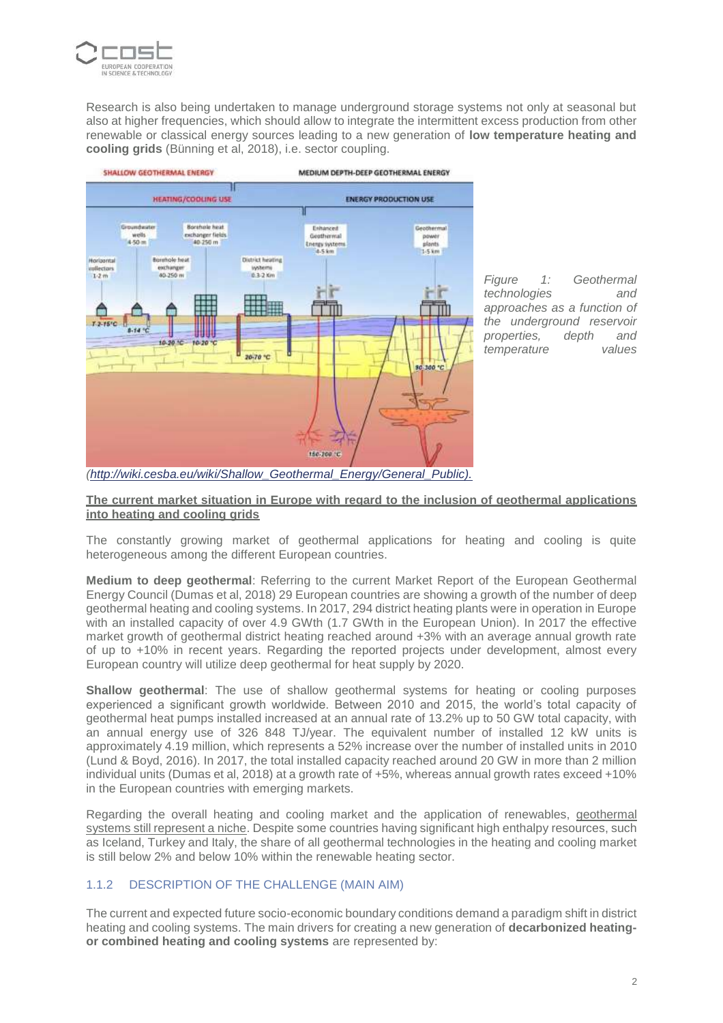

Research is also being undertaken to manage underground storage systems not only at seasonal but also at higher frequencies, which should allow to integrate the intermittent excess production from other renewable or classical energy sources leading to a new generation of **low temperature heating and cooling grids** (Bünning et al, 2018), i.e. sector coupling.



*Figure 1: Geothermal technologies and approaches as a function of the underground reservoir properties, depth and temperature values* 

*[\(http://wiki.cesba.eu/wiki/Shallow\\_Geothermal\\_Energy/General\\_Public\).](http://wiki.cesba.eu/wiki/Shallow_Geothermal_Energy/General_Public))*

#### **The current market situation in Europe with regard to the inclusion of geothermal applications into heating and cooling grids**

The constantly growing market of geothermal applications for heating and cooling is quite heterogeneous among the different European countries.

**Medium to deep geothermal**: Referring to the current Market Report of the European Geothermal Energy Council (Dumas et al, 2018) 29 European countries are showing a growth of the number of deep geothermal heating and cooling systems. In 2017, 294 district heating plants were in operation in Europe with an installed capacity of over 4.9 GWth (1.7 GWth in the European Union). In 2017 the effective market growth of geothermal district heating reached around +3% with an average annual growth rate of up to +10% in recent years. Regarding the reported projects under development, almost every European country will utilize deep geothermal for heat supply by 2020.

**Shallow geothermal**: The use of shallow geothermal systems for heating or cooling purposes experienced a significant growth worldwide. Between 2010 and 2015, the world's total capacity of geothermal heat pumps installed increased at an annual rate of 13.2% up to 50 GW total capacity, with an annual energy use of 326 848 TJ/year. The equivalent number of installed 12 kW units is approximately 4.19 million, which represents a 52% increase over the number of installed units in 2010 (Lund & Boyd, 2016). In 2017, the total installed capacity reached around 20 GW in more than 2 million individual units (Dumas et al, 2018) at a growth rate of +5%, whereas annual growth rates exceed +10% in the European countries with emerging markets.

Regarding the overall heating and cooling market and the application of renewables, geothermal systems still represent a niche. Despite some countries having significant high enthalpy resources, such as Iceland, Turkey and Italy, the share of all geothermal technologies in the heating and cooling market is still below 2% and below 10% within the renewable heating sector.

### 1.1.2 DESCRIPTION OF THE CHALLENGE (MAIN AIM)

The current and expected future socio-economic boundary conditions demand a paradigm shift in district heating and cooling systems. The main drivers for creating a new generation of **decarbonized heatingor combined heating and cooling systems** are represented by: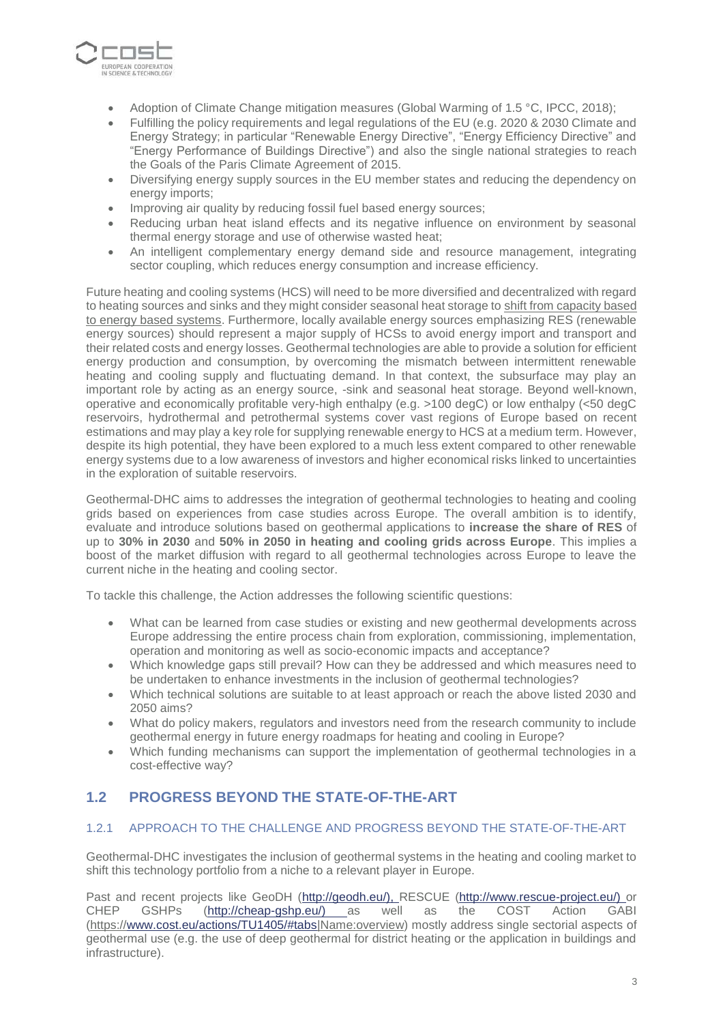

- Adoption of Climate Change mitigation measures (Global Warming of 1.5 °C, IPCC, 2018);
- Fulfilling the policy requirements and legal regulations of the EU (e.g. 2020 & 2030 Climate and Energy Strategy; in particular "Renewable Energy Directive", "Energy Efficiency Directive" and "Energy Performance of Buildings Directive") and also the single national strategies to reach the Goals of the Paris Climate Agreement of 2015.
- Diversifying energy supply sources in the EU member states and reducing the dependency on energy imports;
- Improving air quality by reducing fossil fuel based energy sources;
- Reducing urban heat island effects and its negative influence on environment by seasonal thermal energy storage and use of otherwise wasted heat;
- An intelligent complementary energy demand side and resource management, integrating sector coupling, which reduces energy consumption and increase efficiency.

Future heating and cooling systems (HCS) will need to be more diversified and decentralized with regard to heating sources and sinks and they might consider seasonal heat storage to shift from capacity based to energy based systems. Furthermore, locally available energy sources emphasizing RES (renewable energy sources) should represent a major supply of HCSs to avoid energy import and transport and their related costs and energy losses. Geothermal technologies are able to provide a solution for efficient energy production and consumption, by overcoming the mismatch between intermittent renewable heating and cooling supply and fluctuating demand. In that context, the subsurface may play an important role by acting as an energy source, -sink and seasonal heat storage. Beyond well-known, operative and economically profitable very-high enthalpy (e.g. >100 degC) or low enthalpy (<50 degC reservoirs, hydrothermal and petrothermal systems cover vast regions of Europe based on recent estimations and may play a key role for supplying renewable energy to HCS at a medium term. However, despite its high potential, they have been explored to a much less extent compared to other renewable energy systems due to a low awareness of investors and higher economical risks linked to uncertainties in the exploration of suitable reservoirs.

Geothermal-DHC aims to addresses the integration of geothermal technologies to heating and cooling grids based on experiences from case studies across Europe. The overall ambition is to identify, evaluate and introduce solutions based on geothermal applications to **increase the share of RES** of up to **30% in 2030** and **50% in 2050 in heating and cooling grids across Europe**. This implies a boost of the market diffusion with regard to all geothermal technologies across Europe to leave the current niche in the heating and cooling sector.

To tackle this challenge, the Action addresses the following scientific questions:

- What can be learned from case studies or existing and new geothermal developments across Europe addressing the entire process chain from exploration, commissioning, implementation, operation and monitoring as well as socio-economic impacts and acceptance?
- Which knowledge gaps still prevail? How can they be addressed and which measures need to be undertaken to enhance investments in the inclusion of geothermal technologies?
- Which technical solutions are suitable to at least approach or reach the above listed 2030 and 2050 aims?
- What do policy makers, regulators and investors need from the research community to include geothermal energy in future energy roadmaps for heating and cooling in Europe?
- Which funding mechanisms can support the implementation of geothermal technologies in a cost-effective way?

## **1.2 PROGRESS BEYOND THE STATE-OF-THE-ART**

### 1.2.1 APPROACH TO THE CHALLENGE AND PROGRESS BEYOND THE STATE-OF-THE-ART

Geothermal-DHC investigates the inclusion of geothermal systems in the heating and cooling market to shift this technology portfolio from a niche to a relevant player in Europe.

Past and recent projects like GeoDH [\(http://geodh.eu/\), R](http://geodh.eu/))ESCUE [\(http://www.rescue-project.eu/\) o](http://www.rescue-project.eu/))r CHEP GSHPs [\(http://cheap-gshp.eu/\) a](http://cheap-gshp.eu/))s well as the COST Action GABI (https:/[/www.cost.eu/actions/TU1405/#tabs|](http://www.cost.eu/actions/TU1405/#tabs)Name:overview) mostly address single sectorial aspects of geothermal use (e.g. the use of deep geothermal for district heating or the application in buildings and infrastructure).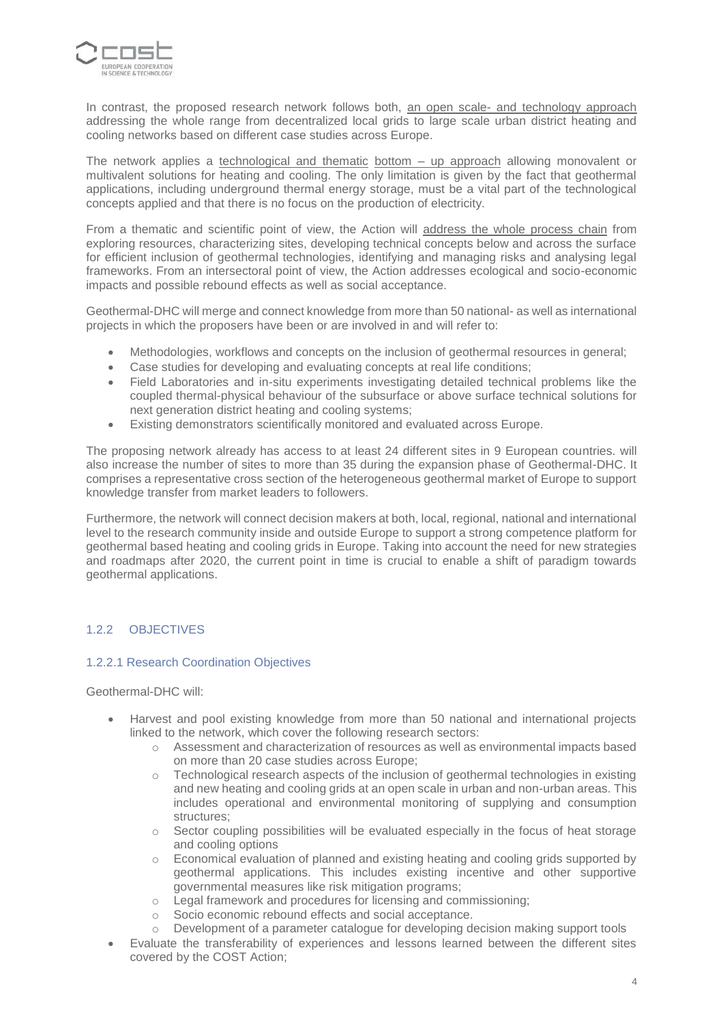

In contrast, the proposed research network follows both, an open scale- and technology approach addressing the whole range from decentralized local grids to large scale urban district heating and cooling networks based on different case studies across Europe.

The network applies a technological and thematic bottom - up approach allowing monovalent or multivalent solutions for heating and cooling. The only limitation is given by the fact that geothermal applications, including underground thermal energy storage, must be a vital part of the technological concepts applied and that there is no focus on the production of electricity.

From a thematic and scientific point of view, the Action will address the whole process chain from exploring resources, characterizing sites, developing technical concepts below and across the surface for efficient inclusion of geothermal technologies, identifying and managing risks and analysing legal frameworks. From an intersectoral point of view, the Action addresses ecological and socio-economic impacts and possible rebound effects as well as social acceptance.

Geothermal-DHC will merge and connect knowledge from more than 50 national- as well as international projects in which the proposers have been or are involved in and will refer to:

- Methodologies, workflows and concepts on the inclusion of geothermal resources in general;
- Case studies for developing and evaluating concepts at real life conditions;
- Field Laboratories and in-situ experiments investigating detailed technical problems like the coupled thermal-physical behaviour of the subsurface or above surface technical solutions for next generation district heating and cooling systems;
- Existing demonstrators scientifically monitored and evaluated across Europe.

The proposing network already has access to at least 24 different sites in 9 European countries. will also increase the number of sites to more than 35 during the expansion phase of Geothermal-DHC. It comprises a representative cross section of the heterogeneous geothermal market of Europe to support knowledge transfer from market leaders to followers.

Furthermore, the network will connect decision makers at both, local, regional, national and international level to the research community inside and outside Europe to support a strong competence platform for geothermal based heating and cooling grids in Europe. Taking into account the need for new strategies and roadmaps after 2020, the current point in time is crucial to enable a shift of paradigm towards geothermal applications.

### 1.2.2 OBJECTIVES

### 1.2.2.1 Research Coordination Objectives

Geothermal-DHC will:

- Harvest and pool existing knowledge from more than 50 national and international projects linked to the network, which cover the following research sectors:
	- o Assessment and characterization of resources as well as environmental impacts based on more than 20 case studies across Europe;
	- $\circ$  Technological research aspects of the inclusion of geothermal technologies in existing and new heating and cooling grids at an open scale in urban and non-urban areas. This includes operational and environmental monitoring of supplying and consumption structures;
	- $\circ$  Sector coupling possibilities will be evaluated especially in the focus of heat storage and cooling options
	- o Economical evaluation of planned and existing heating and cooling grids supported by geothermal applications. This includes existing incentive and other supportive governmental measures like risk mitigation programs;
	- o Legal framework and procedures for licensing and commissioning;
	- o Socio economic rebound effects and social acceptance.
	- o Development of a parameter catalogue for developing decision making support tools
- Evaluate the transferability of experiences and lessons learned between the different sites covered by the COST Action;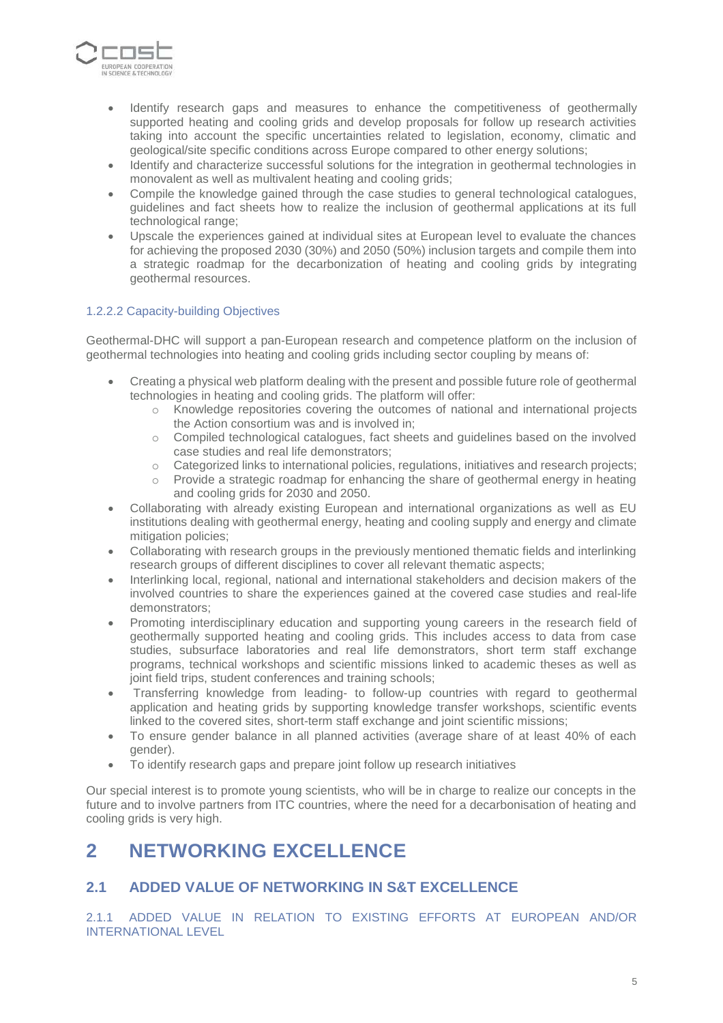

- Identify research gaps and measures to enhance the competitiveness of geothermally supported heating and cooling grids and develop proposals for follow up research activities taking into account the specific uncertainties related to legislation, economy, climatic and geological/site specific conditions across Europe compared to other energy solutions;
- Identify and characterize successful solutions for the integration in geothermal technologies in monovalent as well as multivalent heating and cooling grids;
- Compile the knowledge gained through the case studies to general technological catalogues, guidelines and fact sheets how to realize the inclusion of geothermal applications at its full technological range;
- Upscale the experiences gained at individual sites at European level to evaluate the chances for achieving the proposed 2030 (30%) and 2050 (50%) inclusion targets and compile them into a strategic roadmap for the decarbonization of heating and cooling grids by integrating geothermal resources.

### 1.2.2.2 Capacity-building Objectives

Geothermal-DHC will support a pan-European research and competence platform on the inclusion of geothermal technologies into heating and cooling grids including sector coupling by means of:

- Creating a physical web platform dealing with the present and possible future role of geothermal technologies in heating and cooling grids. The platform will offer:
	- o Knowledge repositories covering the outcomes of national and international projects the Action consortium was and is involved in;
	- o Compiled technological catalogues, fact sheets and guidelines based on the involved case studies and real life demonstrators;
	- o Categorized links to international policies, regulations, initiatives and research projects;
	- $\circ$  Provide a strategic roadmap for enhancing the share of geothermal energy in heating and cooling grids for 2030 and 2050.
- Collaborating with already existing European and international organizations as well as EU institutions dealing with geothermal energy, heating and cooling supply and energy and climate mitigation policies;
- Collaborating with research groups in the previously mentioned thematic fields and interlinking research groups of different disciplines to cover all relevant thematic aspects;
- Interlinking local, regional, national and international stakeholders and decision makers of the involved countries to share the experiences gained at the covered case studies and real-life demonstrators;
- Promoting interdisciplinary education and supporting young careers in the research field of geothermally supported heating and cooling grids. This includes access to data from case studies, subsurface laboratories and real life demonstrators, short term staff exchange programs, technical workshops and scientific missions linked to academic theses as well as joint field trips, student conferences and training schools;
- Transferring knowledge from leading- to follow-up countries with regard to geothermal application and heating grids by supporting knowledge transfer workshops, scientific events linked to the covered sites, short-term staff exchange and joint scientific missions;
- To ensure gender balance in all planned activities (average share of at least 40% of each gender).
- To identify research gaps and prepare joint follow up research initiatives

Our special interest is to promote young scientists, who will be in charge to realize our concepts in the future and to involve partners from ITC countries, where the need for a decarbonisation of heating and cooling grids is very high.

## **2 NETWORKING EXCELLENCE**

### **2.1 ADDED VALUE OF NETWORKING IN S&T EXCELLENCE**

2.1.1 ADDED VALUE IN RELATION TO EXISTING EFFORTS AT EUROPEAN AND/OR INTERNATIONAL LEVEL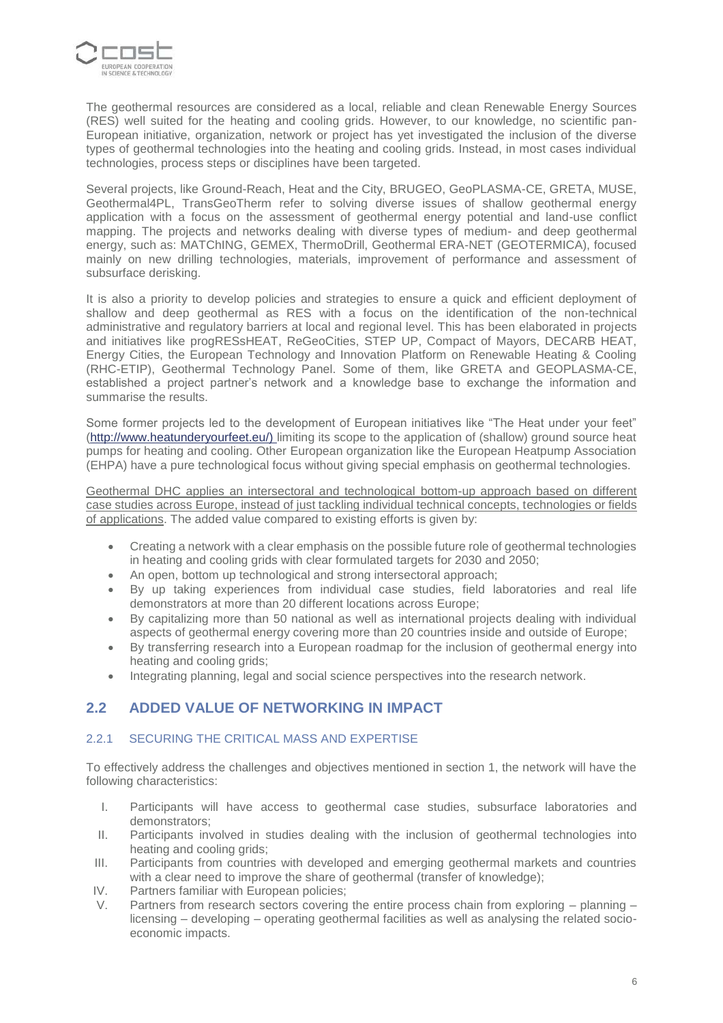

The geothermal resources are considered as a local, reliable and clean Renewable Energy Sources (RES) well suited for the heating and cooling grids. However, to our knowledge, no scientific pan-European initiative, organization, network or project has yet investigated the inclusion of the diverse types of geothermal technologies into the heating and cooling grids. Instead, in most cases individual technologies, process steps or disciplines have been targeted.

Several projects, like Ground-Reach, Heat and the City, BRUGEO, GeoPLASMA-CE, GRETA, MUSE, Geothermal4PL, TransGeoTherm refer to solving diverse issues of shallow geothermal energy application with a focus on the assessment of geothermal energy potential and land-use conflict mapping. The projects and networks dealing with diverse types of medium- and deep geothermal energy, such as: MATChING, GEMEX, ThermoDrill, Geothermal ERA-NET (GEOTERMICA), focused mainly on new drilling technologies, materials, improvement of performance and assessment of subsurface derisking.

It is also a priority to develop policies and strategies to ensure a quick and efficient deployment of shallow and deep geothermal as RES with a focus on the identification of the non-technical administrative and regulatory barriers at local and regional level. This has been elaborated in projects and initiatives like progRESsHEAT, ReGeoCities, STEP UP, Compact of Mayors, DECARB HEAT, Energy Cities, the European Technology and Innovation Platform on Renewable Heating & Cooling (RHC-ETIP), Geothermal Technology Panel. Some of them, like GRETA and GEOPLASMA-CE, established a project partner's network and a knowledge base to exchange the information and summarise the results.

Some former projects led to the development of European initiatives like "The Heat under your feet" [\(http://www.heatunderyourfeet.eu/\) l](http://www.heatunderyourfeet.eu/))imiting its scope to the application of (shallow) ground source heat pumps for heating and cooling. Other European organization like the European Heatpump Association (EHPA) have a pure technological focus without giving special emphasis on geothermal technologies.

Geothermal DHC applies an intersectoral and technological bottom-up approach based on different case studies across Europe, instead of just tackling individual technical concepts, technologies or fields of applications. The added value compared to existing efforts is given by:

- Creating a network with a clear emphasis on the possible future role of geothermal technologies in heating and cooling grids with clear formulated targets for 2030 and 2050;
- An open, bottom up technological and strong intersectoral approach;
- By up taking experiences from individual case studies, field laboratories and real life demonstrators at more than 20 different locations across Europe;
- By capitalizing more than 50 national as well as international projects dealing with individual aspects of geothermal energy covering more than 20 countries inside and outside of Europe;
- By transferring research into a European roadmap for the inclusion of geothermal energy into heating and cooling grids;
- Integrating planning, legal and social science perspectives into the research network.

### **2.2 ADDED VALUE OF NETWORKING IN IMPACT**

### 2.2.1 SECURING THE CRITICAL MASS AND EXPERTISE

To effectively address the challenges and objectives mentioned in section 1, the network will have the following characteristics:

- I. Participants will have access to geothermal case studies, subsurface laboratories and demonstrators;
- II. Participants involved in studies dealing with the inclusion of geothermal technologies into heating and cooling grids;
- III. Participants from countries with developed and emerging geothermal markets and countries with a clear need to improve the share of geothermal (transfer of knowledge);
- IV. Partners familiar with European policies;
- V. Partners from research sectors covering the entire process chain from exploring planning licensing – developing – operating geothermal facilities as well as analysing the related socioeconomic impacts.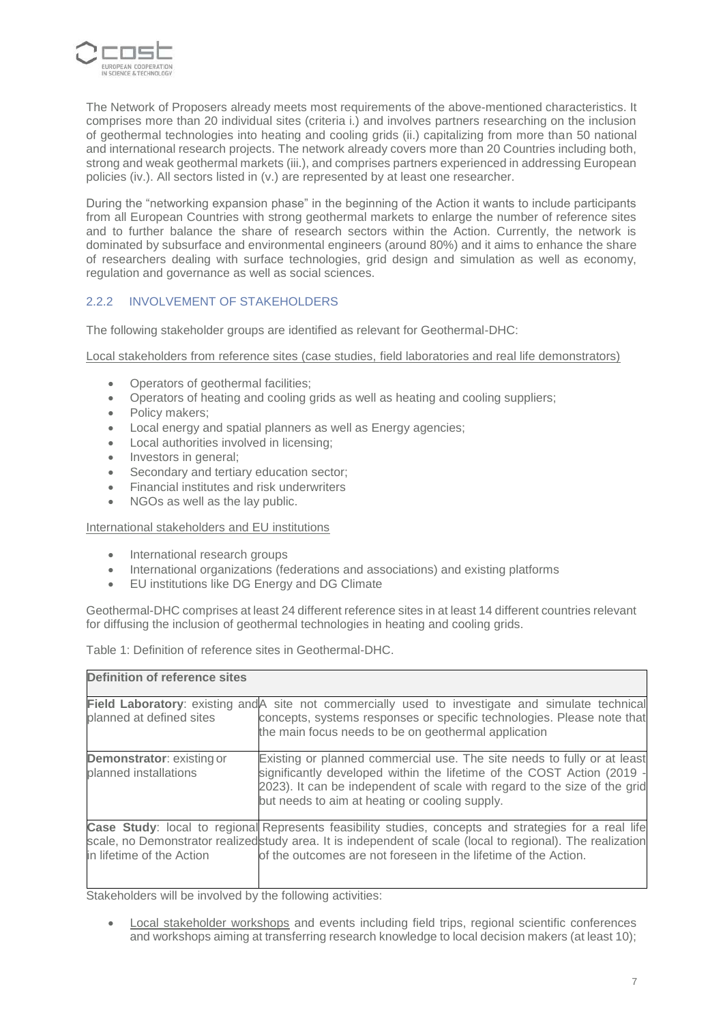

The Network of Proposers already meets most requirements of the above-mentioned characteristics. It comprises more than 20 individual sites (criteria i.) and involves partners researching on the inclusion of geothermal technologies into heating and cooling grids (ii.) capitalizing from more than 50 national and international research projects. The network already covers more than 20 Countries including both, strong and weak geothermal markets (iii.), and comprises partners experienced in addressing European policies (iv.). All sectors listed in (v.) are represented by at least one researcher.

During the "networking expansion phase" in the beginning of the Action it wants to include participants from all European Countries with strong geothermal markets to enlarge the number of reference sites and to further balance the share of research sectors within the Action. Currently, the network is dominated by subsurface and environmental engineers (around 80%) and it aims to enhance the share of researchers dealing with surface technologies, grid design and simulation as well as economy, regulation and governance as well as social sciences.

### 2.2.2 INVOLVEMENT OF STAKEHOLDERS

The following stakeholder groups are identified as relevant for Geothermal-DHC:

Local stakeholders from reference sites (case studies, field laboratories and real life demonstrators)

- Operators of geothermal facilities;
- Operators of heating and cooling grids as well as heating and cooling suppliers;
- Policy makers:
- Local energy and spatial planners as well as Energy agencies;
- Local authorities involved in licensing;
- Investors in general;
- Secondary and tertiary education sector;
- Financial institutes and risk underwriters
- NGOs as well as the lay public.

#### International stakeholders and EU institutions

- International research groups
- International organizations (federations and associations) and existing platforms
- EU institutions like DG Energy and DG Climate

Geothermal-DHC comprises at least 24 different reference sites in at least 14 different countries relevant for diffusing the inclusion of geothermal technologies in heating and cooling grids.

Table 1: Definition of reference sites in Geothermal-DHC.

| <b>Definition of reference sites</b>                      |                                                                                                                                                                                                                                                                                         |  |  |  |  |  |  |
|-----------------------------------------------------------|-----------------------------------------------------------------------------------------------------------------------------------------------------------------------------------------------------------------------------------------------------------------------------------------|--|--|--|--|--|--|
| planned at defined sites                                  | Field Laboratory: existing and A site not commercially used to investigate and simulate technical<br>concepts, systems responses or specific technologies. Please note that<br>the main focus needs to be on geothermal application                                                     |  |  |  |  |  |  |
| <b>Demonstrator: existing or</b><br>planned installations | Existing or planned commercial use. The site needs to fully or at least<br>significantly developed within the lifetime of the COST Action (2019 -<br>2023). It can be independent of scale with regard to the size of the grid<br>but needs to aim at heating or cooling supply.        |  |  |  |  |  |  |
| in lifetime of the Action                                 | Case Study: local to regional Represents feasibility studies, concepts and strategies for a real life<br>scale, no Demonstrator realized study area. It is independent of scale (local to regional). The realization<br>of the outcomes are not foreseen in the lifetime of the Action. |  |  |  |  |  |  |

Stakeholders will be involved by the following activities:

Local stakeholder workshops and events including field trips, regional scientific conferences and workshops aiming at transferring research knowledge to local decision makers (at least 10);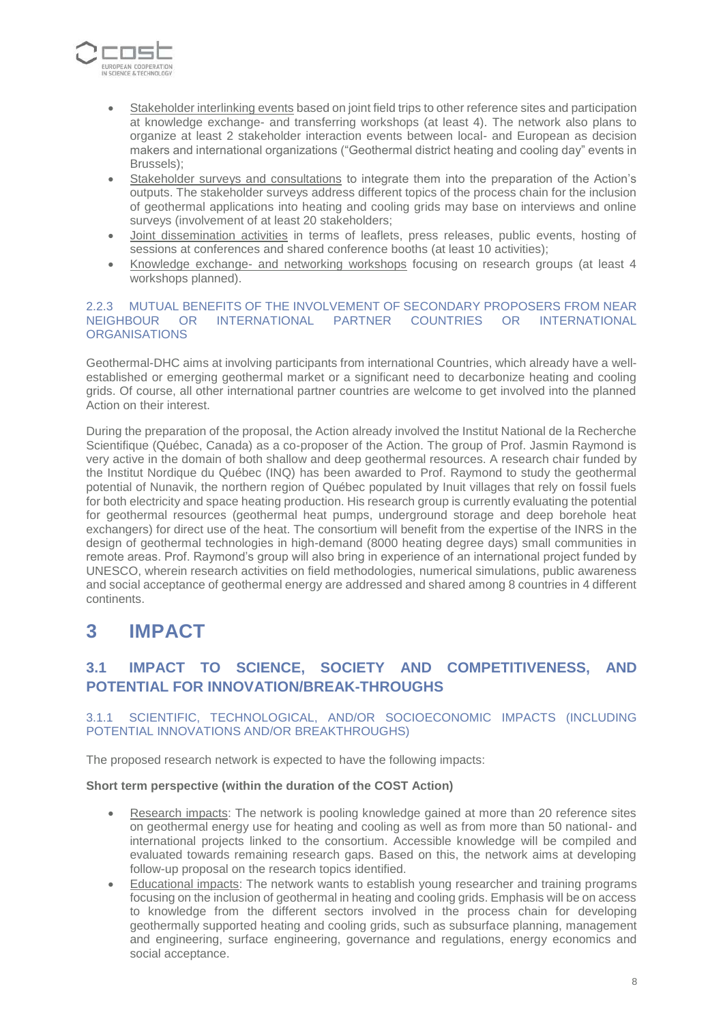

- Stakeholder interlinking events based on joint field trips to other reference sites and participation at knowledge exchange- and transferring workshops (at least 4). The network also plans to organize at least 2 stakeholder interaction events between local- and European as decision makers and international organizations ("Geothermal district heating and cooling day" events in Brussels);
- Stakeholder surveys and consultations to integrate them into the preparation of the Action's outputs. The stakeholder surveys address different topics of the process chain for the inclusion of geothermal applications into heating and cooling grids may base on interviews and online surveys (involvement of at least 20 stakeholders;
- Joint dissemination activities in terms of leaflets, press releases, public events, hosting of sessions at conferences and shared conference booths (at least 10 activities);
- Knowledge exchange- and networking workshops focusing on research groups (at least 4 workshops planned).

### 2.2.3 MUTUAL BENEFITS OF THE INVOLVEMENT OF SECONDARY PROPOSERS FROM NEAR NEIGHBOUR OR INTERNATIONAL PARTNER COUNTRIES OR INTERNATIONAL **ORGANISATIONS**

Geothermal-DHC aims at involving participants from international Countries, which already have a wellestablished or emerging geothermal market or a significant need to decarbonize heating and cooling grids. Of course, all other international partner countries are welcome to get involved into the planned Action on their interest.

During the preparation of the proposal, the Action already involved the Institut National de la Recherche Scientifique (Québec, Canada) as a co-proposer of the Action. The group of Prof. Jasmin Raymond is very active in the domain of both shallow and deep geothermal resources. A research chair funded by the Institut Nordique du Québec (INQ) has been awarded to Prof. Raymond to study the geothermal potential of Nunavik, the northern region of Québec populated by Inuit villages that rely on fossil fuels for both electricity and space heating production. His research group is currently evaluating the potential for geothermal resources (geothermal heat pumps, underground storage and deep borehole heat exchangers) for direct use of the heat. The consortium will benefit from the expertise of the INRS in the design of geothermal technologies in high-demand (8000 heating degree days) small communities in remote areas. Prof. Raymond's group will also bring in experience of an international project funded by UNESCO, wherein research activities on field methodologies, numerical simulations, public awareness and social acceptance of geothermal energy are addressed and shared among 8 countries in 4 different continents.

## **3 IMPACT**

## **3.1 IMPACT TO SCIENCE, SOCIETY AND COMPETITIVENESS, AND POTENTIAL FOR INNOVATION/BREAK-THROUGHS**

### 3.1.1 SCIENTIFIC, TECHNOLOGICAL, AND/OR SOCIOECONOMIC IMPACTS (INCLUDING POTENTIAL INNOVATIONS AND/OR BREAKTHROUGHS)

The proposed research network is expected to have the following impacts:

### **Short term perspective (within the duration of the COST Action)**

- Research impacts: The network is pooling knowledge gained at more than 20 reference sites on geothermal energy use for heating and cooling as well as from more than 50 national- and international projects linked to the consortium. Accessible knowledge will be compiled and evaluated towards remaining research gaps. Based on this, the network aims at developing follow-up proposal on the research topics identified.
- Educational impacts: The network wants to establish young researcher and training programs focusing on the inclusion of geothermal in heating and cooling grids. Emphasis will be on access to knowledge from the different sectors involved in the process chain for developing geothermally supported heating and cooling grids, such as subsurface planning, management and engineering, surface engineering, governance and regulations, energy economics and social acceptance.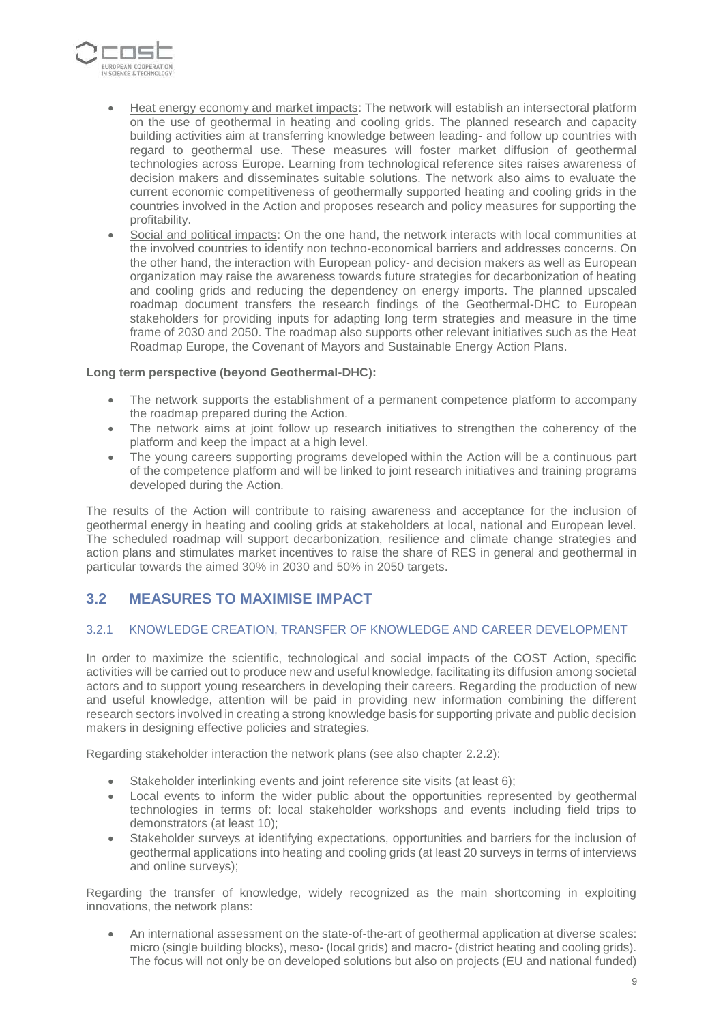

- Heat energy economy and market impacts: The network will establish an intersectoral platform on the use of geothermal in heating and cooling grids. The planned research and capacity building activities aim at transferring knowledge between leading- and follow up countries with regard to geothermal use. These measures will foster market diffusion of geothermal technologies across Europe. Learning from technological reference sites raises awareness of decision makers and disseminates suitable solutions. The network also aims to evaluate the current economic competitiveness of geothermally supported heating and cooling grids in the countries involved in the Action and proposes research and policy measures for supporting the profitability.
- Social and political impacts: On the one hand, the network interacts with local communities at the involved countries to identify non techno-economical barriers and addresses concerns. On the other hand, the interaction with European policy- and decision makers as well as European organization may raise the awareness towards future strategies for decarbonization of heating and cooling grids and reducing the dependency on energy imports. The planned upscaled roadmap document transfers the research findings of the Geothermal-DHC to European stakeholders for providing inputs for adapting long term strategies and measure in the time frame of 2030 and 2050. The roadmap also supports other relevant initiatives such as the Heat Roadmap Europe, the Covenant of Mayors and Sustainable Energy Action Plans.

### **Long term perspective (beyond Geothermal-DHC):**

- The network supports the establishment of a permanent competence platform to accompany the roadmap prepared during the Action.
- The network aims at joint follow up research initiatives to strengthen the coherency of the platform and keep the impact at a high level.
- The young careers supporting programs developed within the Action will be a continuous part of the competence platform and will be linked to joint research initiatives and training programs developed during the Action.

The results of the Action will contribute to raising awareness and acceptance for the inclusion of geothermal energy in heating and cooling grids at stakeholders at local, national and European level. The scheduled roadmap will support decarbonization, resilience and climate change strategies and action plans and stimulates market incentives to raise the share of RES in general and geothermal in particular towards the aimed 30% in 2030 and 50% in 2050 targets.

### **3.2 MEASURES TO MAXIMISE IMPACT**

### 3.2.1 KNOWLEDGE CREATION, TRANSFER OF KNOWLEDGE AND CAREER DEVELOPMENT

In order to maximize the scientific, technological and social impacts of the COST Action, specific activities will be carried out to produce new and useful knowledge, facilitating its diffusion among societal actors and to support young researchers in developing their careers. Regarding the production of new and useful knowledge, attention will be paid in providing new information combining the different research sectors involved in creating a strong knowledge basis for supporting private and public decision makers in designing effective policies and strategies.

Regarding stakeholder interaction the network plans (see also chapter 2.2.2):

- Stakeholder interlinking events and joint reference site visits (at least 6);
- Local events to inform the wider public about the opportunities represented by geothermal technologies in terms of: local stakeholder workshops and events including field trips to demonstrators (at least 10);
- Stakeholder surveys at identifying expectations, opportunities and barriers for the inclusion of geothermal applications into heating and cooling grids (at least 20 surveys in terms of interviews and online surveys);

Regarding the transfer of knowledge, widely recognized as the main shortcoming in exploiting innovations, the network plans:

• An international assessment on the state-of-the-art of geothermal application at diverse scales: micro (single building blocks), meso- (local grids) and macro- (district heating and cooling grids). The focus will not only be on developed solutions but also on projects (EU and national funded)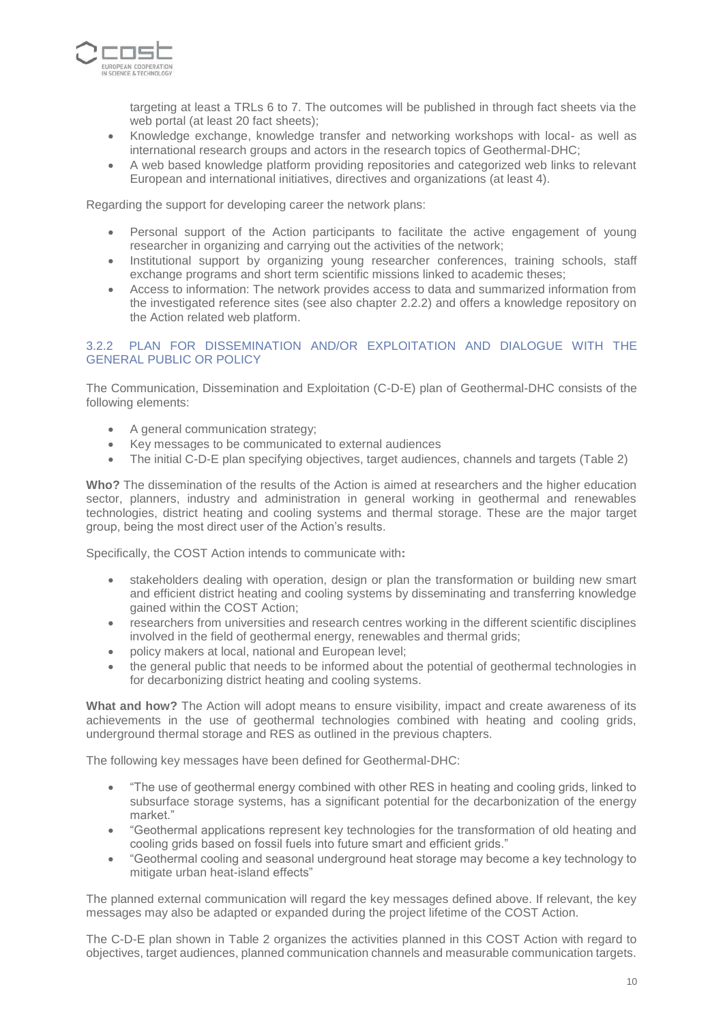

targeting at least a TRLs 6 to 7. The outcomes will be published in through fact sheets via the web portal (at least 20 fact sheets);

- Knowledge exchange, knowledge transfer and networking workshops with local- as well as international research groups and actors in the research topics of Geothermal-DHC;
- A web based knowledge platform providing repositories and categorized web links to relevant European and international initiatives, directives and organizations (at least 4).

Regarding the support for developing career the network plans:

- Personal support of the Action participants to facilitate the active engagement of young researcher in organizing and carrying out the activities of the network;
- Institutional support by organizing young researcher conferences, training schools, staff exchange programs and short term scientific missions linked to academic theses;
- Access to information: The network provides access to data and summarized information from the investigated reference sites (see also chapter 2.2.2) and offers a knowledge repository on the Action related web platform.

### 3.2.2 PLAN FOR DISSEMINATION AND/OR EXPLOITATION AND DIALOGUE WITH THE GENERAL PUBLIC OR POLICY

The Communication, Dissemination and Exploitation (C-D-E) plan of Geothermal-DHC consists of the following elements:

- A general communication strategy;
- Key messages to be communicated to external audiences
- The initial C-D-E plan specifying objectives, target audiences, channels and targets (Table 2)

**Who?** The dissemination of the results of the Action is aimed at researchers and the higher education sector, planners, industry and administration in general working in geothermal and renewables technologies, district heating and cooling systems and thermal storage. These are the major target group, being the most direct user of the Action's results.

Specifically, the COST Action intends to communicate with**:**

- stakeholders dealing with operation, design or plan the transformation or building new smart and efficient district heating and cooling systems by disseminating and transferring knowledge gained within the COST Action;
- researchers from universities and research centres working in the different scientific disciplines involved in the field of geothermal energy, renewables and thermal grids;
- policy makers at local, national and European level;
- the general public that needs to be informed about the potential of geothermal technologies in for decarbonizing district heating and cooling systems.

**What and how?** The Action will adopt means to ensure visibility, impact and create awareness of its achievements in the use of geothermal technologies combined with heating and cooling grids, underground thermal storage and RES as outlined in the previous chapters.

The following key messages have been defined for Geothermal-DHC:

- "The use of geothermal energy combined with other RES in heating and cooling grids, linked to subsurface storage systems, has a significant potential for the decarbonization of the energy market."
- "Geothermal applications represent key technologies for the transformation of old heating and cooling grids based on fossil fuels into future smart and efficient grids."
- "Geothermal cooling and seasonal underground heat storage may become a key technology to mitigate urban heat-island effects"

The planned external communication will regard the key messages defined above. If relevant, the key messages may also be adapted or expanded during the project lifetime of the COST Action.

The C-D-E plan shown in Table 2 organizes the activities planned in this COST Action with regard to objectives, target audiences, planned communication channels and measurable communication targets.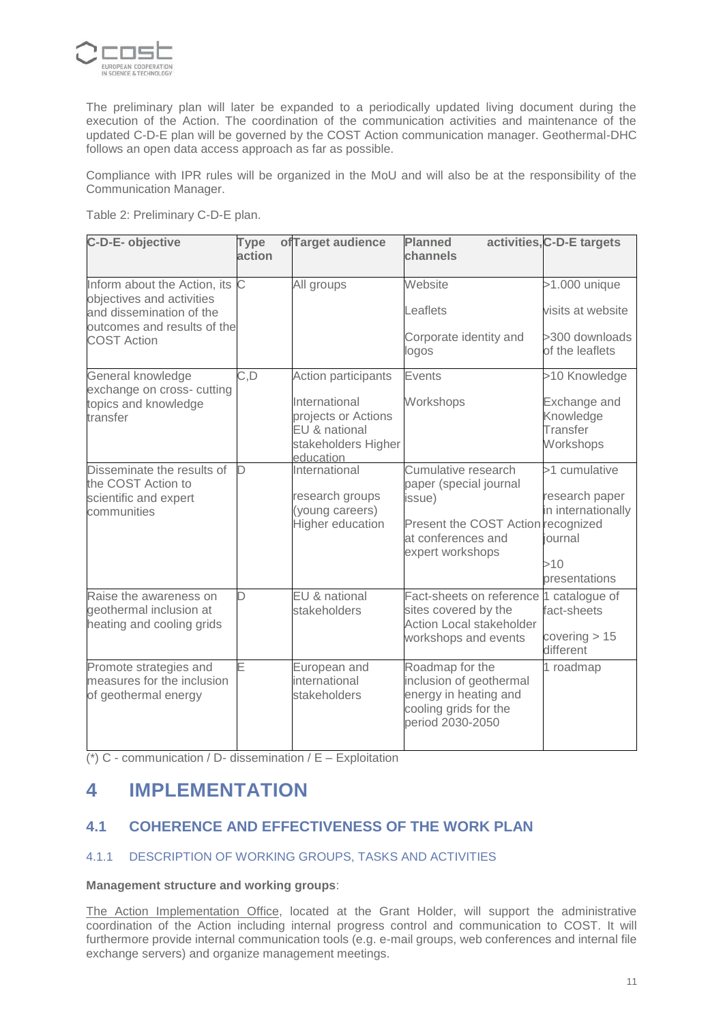

The preliminary plan will later be expanded to a periodically updated living document during the execution of the Action. The coordination of the communication activities and maintenance of the updated C-D-E plan will be governed by the COST Action communication manager. Geothermal-DHC follows an open data access approach as far as possible.

Compliance with IPR rules will be organized in the MoU and will also be at the responsibility of the Communication Manager.

Table 2: Preliminary C-D-E plan.

| C-D-E- objective                                                                                                                             | <b>Type</b><br>action | ofTarget audience                                                                                                       | <b>Planned</b><br>channels                                                                                                              | activities, C-D-E targets                                                                |
|----------------------------------------------------------------------------------------------------------------------------------------------|-----------------------|-------------------------------------------------------------------------------------------------------------------------|-----------------------------------------------------------------------------------------------------------------------------------------|------------------------------------------------------------------------------------------|
| Inform about the Action, its C<br>objectives and activities<br>and dissemination of the<br>outcomes and results of the<br><b>COST Action</b> |                       | All groups                                                                                                              | Website<br>Leaflets<br>Corporate identity and<br>logos                                                                                  | $>1.000$ unique<br>visits at website<br>>300 downloads<br>of the leaflets                |
| General knowledge<br>exchange on cross- cutting<br>topics and knowledge<br>transfer                                                          | C, D                  | <b>Action participants</b><br>International<br>projects or Actions<br>EU & national<br>stakeholders Higher<br>education | <b>Events</b><br>Workshops                                                                                                              | >10 Knowledge<br>Exchange and<br>Knowledge<br>Transfer<br>Workshops                      |
| Disseminate the results of<br>the COST Action to<br>scientific and expert<br>communities                                                     | D                     | International<br>research groups<br>(young careers)<br>Higher education                                                 | Cumulative research<br>paper (special journal<br>issue)<br>Present the COST Action recognized<br>at conferences and<br>expert workshops | >1 cumulative<br>research paper<br>in internationally<br>journal<br>>10<br>presentations |
| Raise the awareness on<br>geothermal inclusion at<br>heating and cooling grids                                                               | D                     | EU & national<br>stakeholders                                                                                           | Fact-sheets on reference<br>sites covered by the<br>Action Local stakeholder<br>workshops and events                                    | 1 catalogue of<br>fact-sheets<br>covering $> 15$<br>different                            |
| Promote strategies and<br>measures for the inclusion<br>of geothermal energy                                                                 | E                     | European and<br>international<br>stakeholders                                                                           | Roadmap for the<br>inclusion of geothermal<br>energy in heating and<br>cooling grids for the<br>period 2030-2050                        | 1 roadmap                                                                                |

(\*) C - communication / D- dissemination /  $E - E$ xploitation

## **4 IMPLEMENTATION**

## **4.1 COHERENCE AND EFFECTIVENESS OF THE WORK PLAN**

### 4.1.1 DESCRIPTION OF WORKING GROUPS, TASKS AND ACTIVITIES

### **Management structure and working groups**:

The Action Implementation Office, located at the Grant Holder, will support the administrative coordination of the Action including internal progress control and communication to COST. It will furthermore provide internal communication tools (e.g. e-mail groups, web conferences and internal file exchange servers) and organize management meetings.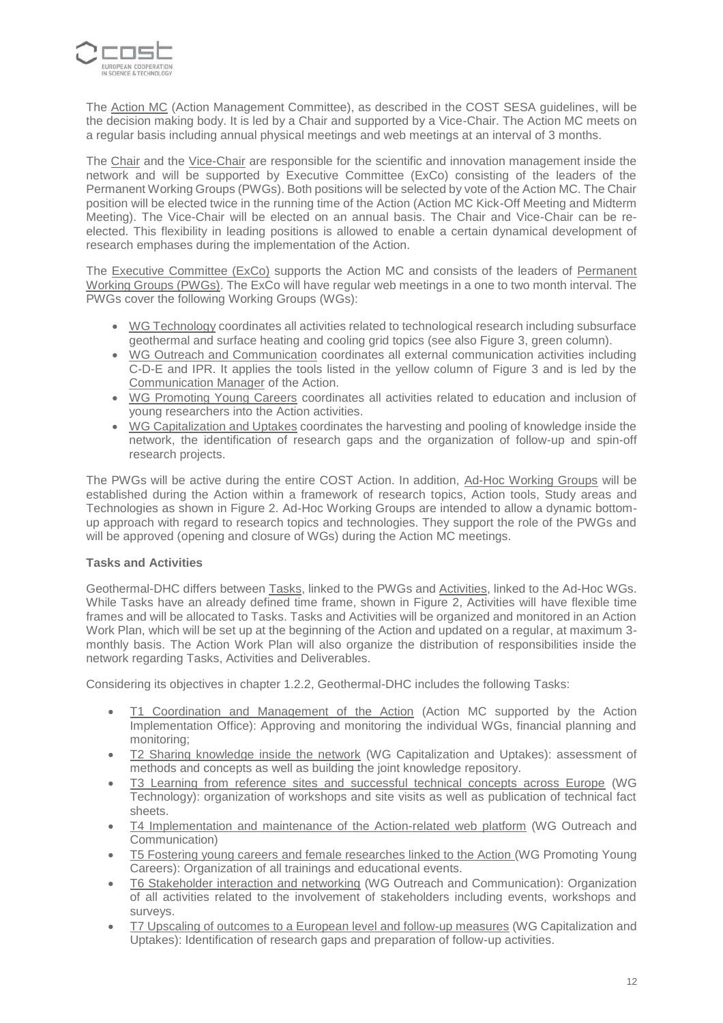

The Action MC (Action Management Committee), as described in the COST SESA guidelines, will be the decision making body. It is led by a Chair and supported by a Vice-Chair. The Action MC meets on a regular basis including annual physical meetings and web meetings at an interval of 3 months.

The Chair and the Vice-Chair are responsible for the scientific and innovation management inside the network and will be supported by Executive Committee (ExCo) consisting of the leaders of the Permanent Working Groups (PWGs). Both positions will be selected by vote of the Action MC. The Chair position will be elected twice in the running time of the Action (Action MC Kick-Off Meeting and Midterm Meeting). The Vice-Chair will be elected on an annual basis. The Chair and Vice-Chair can be reelected. This flexibility in leading positions is allowed to enable a certain dynamical development of research emphases during the implementation of the Action.

The Executive Committee (ExCo) supports the Action MC and consists of the leaders of Permanent Working Groups (PWGs). The ExCo will have regular web meetings in a one to two month interval. The PWGs cover the following Working Groups (WGs):

- WG Technology coordinates all activities related to technological research including subsurface geothermal and surface heating and cooling grid topics (see also Figure 3, green column).
- WG Outreach and Communication coordinates all external communication activities including C-D-E and IPR. It applies the tools listed in the yellow column of Figure 3 and is led by the Communication Manager of the Action.
- WG Promoting Young Careers coordinates all activities related to education and inclusion of young researchers into the Action activities.
- WG Capitalization and Uptakes coordinates the harvesting and pooling of knowledge inside the network, the identification of research gaps and the organization of follow-up and spin-off research projects.

The PWGs will be active during the entire COST Action. In addition, Ad-Hoc Working Groups will be established during the Action within a framework of research topics, Action tools, Study areas and Technologies as shown in Figure 2. Ad-Hoc Working Groups are intended to allow a dynamic bottomup approach with regard to research topics and technologies. They support the role of the PWGs and will be approved (opening and closure of WGs) during the Action MC meetings.

### **Tasks and Activities**

Geothermal-DHC differs between Tasks, linked to the PWGs and Activities, linked to the Ad-Hoc WGs. While Tasks have an already defined time frame, shown in Figure 2, Activities will have flexible time frames and will be allocated to Tasks. Tasks and Activities will be organized and monitored in an Action Work Plan, which will be set up at the beginning of the Action and updated on a regular, at maximum 3 monthly basis. The Action Work Plan will also organize the distribution of responsibilities inside the network regarding Tasks, Activities and Deliverables.

Considering its objectives in chapter 1.2.2, Geothermal-DHC includes the following Tasks:

- T1 Coordination and Management of the Action (Action MC supported by the Action Implementation Office): Approving and monitoring the individual WGs, financial planning and monitoring;
- T2 Sharing knowledge inside the network (WG Capitalization and Uptakes): assessment of methods and concepts as well as building the joint knowledge repository.
- T3 Learning from reference sites and successful technical concepts across Europe (WG Technology): organization of workshops and site visits as well as publication of technical fact sheets.
- T4 Implementation and maintenance of the Action-related web platform (WG Outreach and Communication)
- T5 Fostering young careers and female researches linked to the Action (WG Promoting Young Careers): Organization of all trainings and educational events.
- T6 Stakeholder interaction and networking (WG Outreach and Communication): Organization of all activities related to the involvement of stakeholders including events, workshops and surveys.
- T7 Upscaling of outcomes to a European level and follow-up measures (WG Capitalization and Uptakes): Identification of research gaps and preparation of follow-up activities.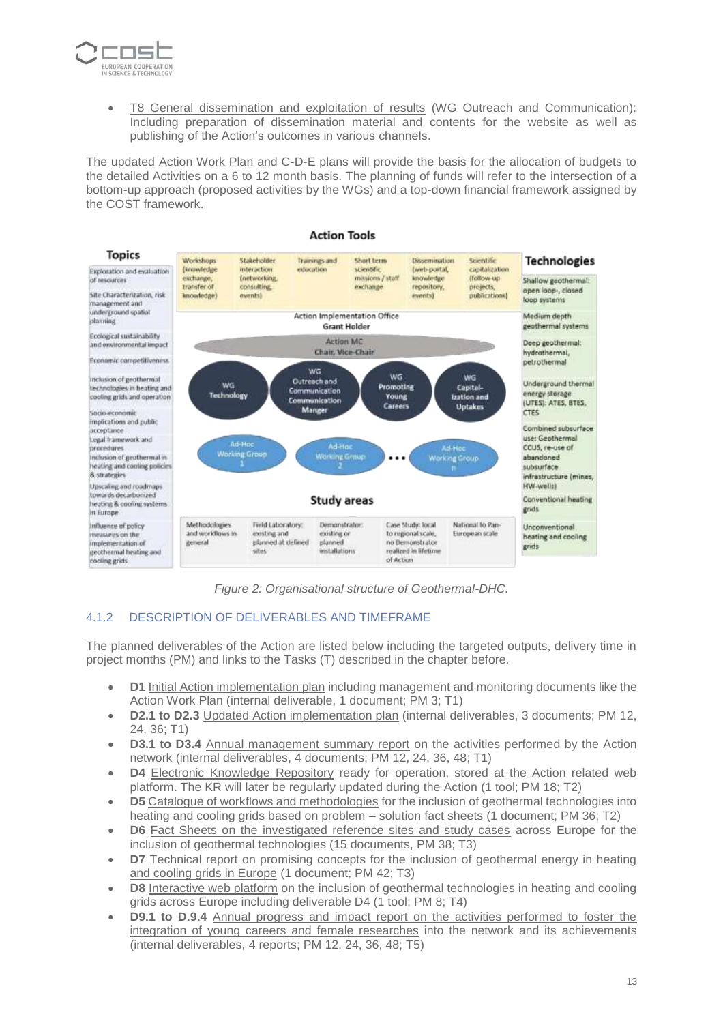

• T8 General dissemination and exploitation of results (WG Outreach and Communication): Including preparation of dissemination material and contents for the website as well as publishing of the Action's outcomes in various channels.

The updated Action Work Plan and C-D-E plans will provide the basis for the allocation of budgets to the detailed Activities on a 6 to 12 month basis. The planning of funds will refer to the intersection of a bottom-up approach (proposed activities by the WGs) and a top-down financial framework assigned by the COST framework.



*Figure 2: Organisational structure of Geothermal-DHC.*

### 4.1.2 DESCRIPTION OF DELIVERABLES AND TIMEFRAME

The planned deliverables of the Action are listed below including the targeted outputs, delivery time in project months (PM) and links to the Tasks (T) described in the chapter before.

- **D1** Initial Action implementation plan including management and monitoring documents like the Action Work Plan (internal deliverable, 1 document; PM 3; T1)
- **D2.1 to D2.3** Updated Action implementation plan (internal deliverables, 3 documents; PM 12, 24, 36; T1)
- **D3.1 to D3.4** Annual management summary report on the activities performed by the Action network (internal deliverables, 4 documents; PM 12, 24, 36, 48; T1)
- **D4** Electronic Knowledge Repository ready for operation, stored at the Action related web platform. The KR will later be regularly updated during the Action (1 tool; PM 18; T2)
- **D5** Catalogue of workflows and methodologies for the inclusion of geothermal technologies into heating and cooling grids based on problem – solution fact sheets (1 document; PM 36; T2)
- **D6** Fact Sheets on the investigated reference sites and study cases across Europe for the inclusion of geothermal technologies (15 documents, PM 38; T3)
- **D7** Technical report on promising concepts for the inclusion of geothermal energy in heating and cooling grids in Europe (1 document; PM 42; T3)
- **D8** Interactive web platform on the inclusion of geothermal technologies in heating and cooling grids across Europe including deliverable D4 (1 tool; PM 8; T4)
- **D9.1 to D.9.4** Annual progress and impact report on the activities performed to foster the integration of young careers and female researches into the network and its achievements (internal deliverables, 4 reports; PM 12, 24, 36, 48; T5)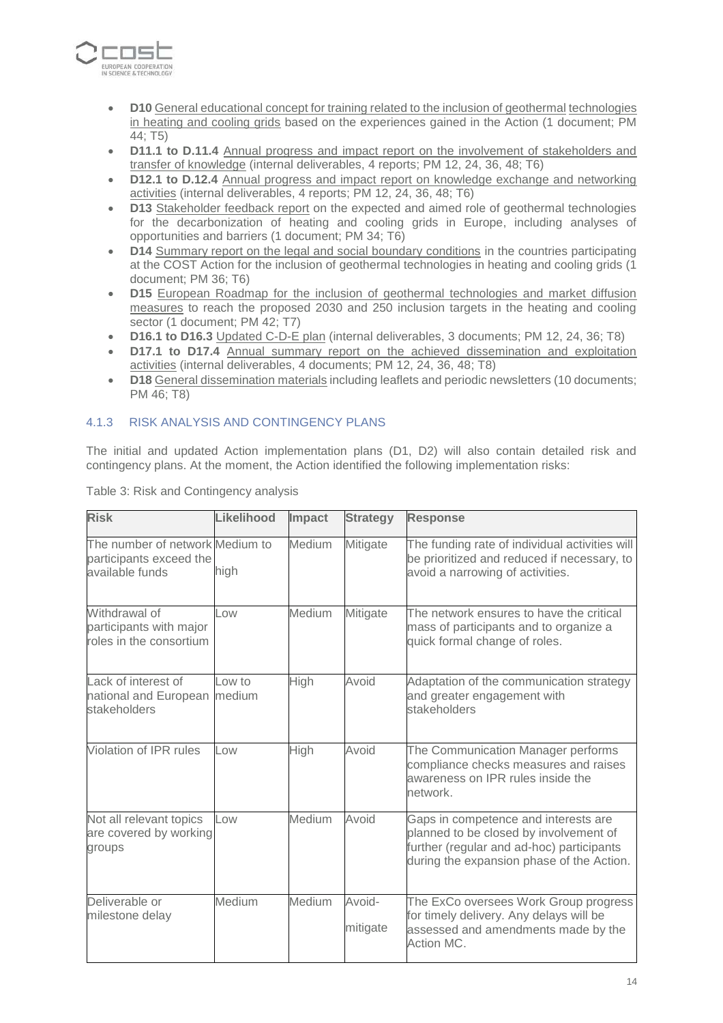

- **D10** General educational concept for training related to the inclusion of geothermal technologies in heating and cooling grids based on the experiences gained in the Action (1 document; PM 44; T5)
- **D11.1 to D.11.4** Annual progress and impact report on the involvement of stakeholders and transfer of knowledge (internal deliverables, 4 reports; PM 12, 24, 36, 48; T6)
- **D12.1 to D.12.4** Annual progress and impact report on knowledge exchange and networking activities (internal deliverables, 4 reports; PM 12, 24, 36, 48; T6)
- **D13** Stakeholder feedback report on the expected and aimed role of geothermal technologies for the decarbonization of heating and cooling grids in Europe, including analyses of opportunities and barriers (1 document; PM 34; T6)
- **D14** Summary report on the legal and social boundary conditions in the countries participating at the COST Action for the inclusion of geothermal technologies in heating and cooling grids (1 document; PM 36; T6)
- **D15** European Roadmap for the inclusion of geothermal technologies and market diffusion measures to reach the proposed 2030 and 250 inclusion targets in the heating and cooling sector (1 document; PM 42; T7)
- **D16.1 to D16.3** Updated C-D-E plan (internal deliverables, 3 documents; PM 12, 24, 36; T8)
- **D17.1 to D17.4** Annual summary report on the achieved dissemination and exploitation activities (internal deliverables, 4 documents; PM 12, 24, 36, 48; T8)
- **D18** General dissemination materials including leaflets and periodic newsletters (10 documents; PM 46; T8)

### 4.1.3 RISK ANALYSIS AND CONTINGENCY PLANS

The initial and updated Action implementation plans (D1, D2) will also contain detailed risk and contingency plans. At the moment, the Action identified the following implementation risks:

| <b>Risk</b>                                                                   | Likelihood       | Impact        | <b>Strategy</b>    | <b>Response</b>                                                                                                                                                          |
|-------------------------------------------------------------------------------|------------------|---------------|--------------------|--------------------------------------------------------------------------------------------------------------------------------------------------------------------------|
| The number of network Medium to<br>participants exceed the<br>available funds | high             | <b>Medium</b> | Mitigate           | The funding rate of individual activities will<br>be prioritized and reduced if necessary, to<br>avoid a narrowing of activities.                                        |
| Withdrawal of<br>participants with major<br>roles in the consortium           | LOW              | Medium        | Mitigate           | The network ensures to have the critical<br>mass of participants and to organize a<br>quick formal change of roles.                                                      |
| Lack of interest of<br>national and European<br>stakeholders                  | Low to<br>medium | High          | Avoid              | Adaptation of the communication strategy<br>and greater engagement with<br>stakeholders                                                                                  |
| Violation of IPR rules                                                        | LOW              | High          | Avoid              | The Communication Manager performs<br>compliance checks measures and raises<br>awareness on IPR rules inside the<br>network.                                             |
| Not all relevant topics<br>are covered by working<br>groups                   | Low              | <b>Medium</b> | Avoid              | Gaps in competence and interests are<br>planned to be closed by involvement of<br>further (regular and ad-hoc) participants<br>during the expansion phase of the Action. |
| Deliverable or<br>milestone delay                                             | Medium           | <b>Medium</b> | Avoid-<br>mitigate | The ExCo oversees Work Group progress<br>for timely delivery. Any delays will be<br>assessed and amendments made by the<br>Action MC.                                    |

Table 3: Risk and Contingency analysis